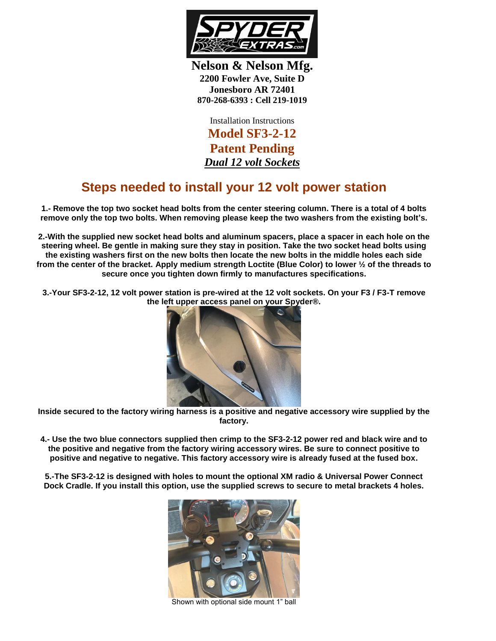

**Nelson & Nelson Mfg. 2200 Fowler Ave, Suite D Jonesboro AR 72401 870-268-6393 : Cell 219-1019**

Installation Instructions **Model SF3-2-12 Patent Pending** *Dual 12 volt Sockets*

## **Steps needed to install your 12 volt power station**

**1.- Remove the top two socket head bolts from the center steering column. There is a total of 4 bolts remove only the top two bolts. When removing please keep the two washers from the existing bolt's.**

**2.-With the supplied new socket head bolts and aluminum spacers, place a spacer in each hole on the steering wheel. Be gentle in making sure they stay in position. Take the two socket head bolts using the existing washers first on the new bolts then locate the new bolts in the middle holes each side from the center of the bracket. Apply medium strength Loctite (Blue Color) to lower ½ of the threads to secure once you tighten down firmly to manufactures specifications.**

**3.-Your SF3-2-12, 12 volt power station is pre-wired at the 12 volt sockets. On your F3 / F3-T remove the left upper access panel on your Spyder®.** 



**Inside secured to the factory wiring harness is a positive and negative accessory wire supplied by the factory.**

**4.- Use the two blue connectors supplied then crimp to the SF3-2-12 power red and black wire and to the positive and negative from the factory wiring accessory wires. Be sure to connect positive to positive and negative to negative. This factory accessory wire is already fused at the fused box.**

**5.-The SF3-2-12 is designed with holes to mount the optional XM radio & Universal Power Connect Dock Cradle. If you install this option, use the supplied screws to secure to metal brackets 4 holes.**



Shown with optional side mount 1" ball